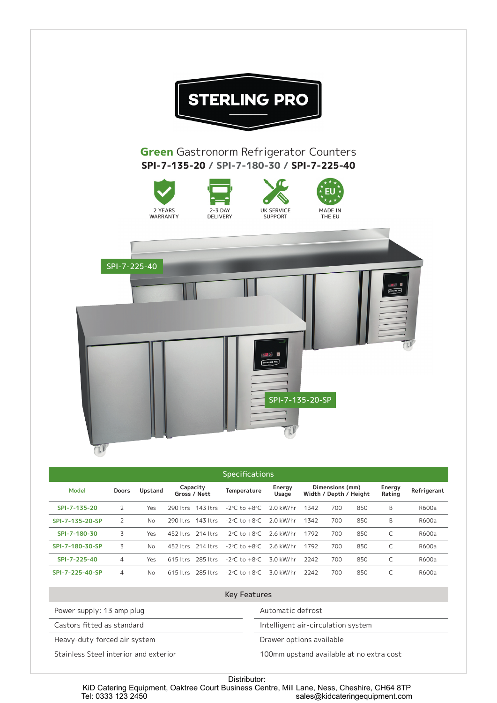

| <b>Specifications</b> |              |         |                          |                                  |                 |      |                                           |     |                  |             |
|-----------------------|--------------|---------|--------------------------|----------------------------------|-----------------|------|-------------------------------------------|-----|------------------|-------------|
| Model                 | <b>Doors</b> | Upstand | Capacity<br>Gross / Nett | Temperature                      | Energy<br>Usage |      | Dimensions (mm)<br>Width / Depth / Height |     | Energy<br>Rating | Refrigerant |
| SPI-7-135-20          | 2            | Yes     | $143$ ltrs<br>290 Itrs   | $-2^{\circ}$ C to $+8^{\circ}$ C | 2.0 kW/hr       | 1342 | 700                                       | 850 | B                | R600a       |
| SPI-7-135-20-SP       | 2            | No      | $143$ ltrs<br>290 ltrs   | $-2^{\circ}$ C to $+8^{\circ}$ C | 2.0 kW/hr       | 1342 | 700                                       | 850 | B                | R600a       |
| SPI-7-180-30          | 3            | Yes     | 214 Itrs<br>$452$ ltrs   | $-2^{\circ}$ C to $+8^{\circ}$ C | 2.6 kW/hr       | 1792 | 700                                       | 850 |                  | R600a       |
| SPI-7-180-30-SP       | 3            | No      | 214 Itrs<br>$452$ ltrs   | $-2$ °C to $+8$ °C               | 2.6 kW/hr       | 1792 | 700                                       | 850 | C                | R600a       |
| SPI-7-225-40          | 4            | Yes     | 285 ltrs<br>$615$ ltrs   | $-2^{\circ}$ C to $+8^{\circ}$ C | $3.0$ kW/hr     | 2242 | 700                                       | 850 |                  | R600a       |
| SPI-7-225-40-SP       | 4            | No      | 285 Itrs<br>$615$ ltrs   | $-2^{\circ}$ C to $+8^{\circ}$ C | $3.0$ kW/hr     | 2242 | 700                                       | 850 |                  | R600a       |

#### Key Features

| Power supply: 13 amp plug             | Automatic defrost                                              |  |  |  |  |
|---------------------------------------|----------------------------------------------------------------|--|--|--|--|
| Castors fitted as standard            | Intelligent air-circulation system<br>Drawer options available |  |  |  |  |
| Heavy-duty forced air system          |                                                                |  |  |  |  |
| Stainless Steel interior and exterior | 100mm upstand available at no extra cost                       |  |  |  |  |

Distributor: KiD Catering Equipment, Oaktree Court Business Centre, Mill Lane, Ness, Cheshire, CH64 8TP<br>sales@kidcateringequipment.com sales@kidcateringequipment.com